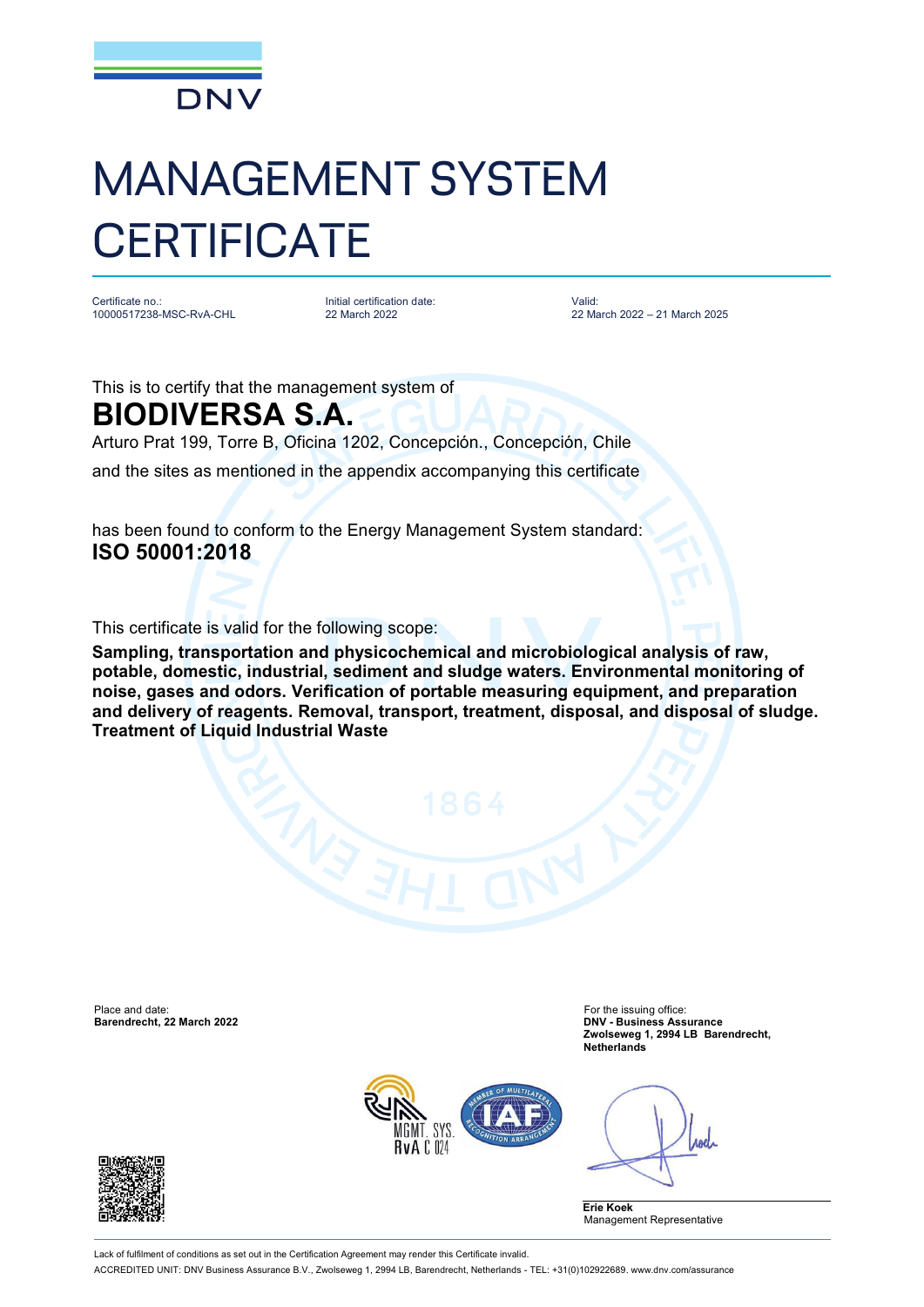

## MANAGEMENT SYSTEM **CERTIFICATE**

Certificate no.: 10000517238-MSC-RvA-CHL Initial certification date: 22 March 2022

Valid: 22 March 2022 – 21 March 2025

This is to certify that the management system of

## **BIODIVERSA S.A.**

Arturo Prat 199, Torre B, Oficina 1202, Concepción., Concepción, Chile and the sites as mentioned in the appendix accompanying this certificate

has been found to conform to the Energy Management System standard: **ISO 50001:2018**

This certificate is valid for the following scope:

**Sampling, transportation and physicochemical and microbiological analysis of raw, potable, domestic, industrial, sediment and sludge waters. Environmental monitoring of noise, gases and odors. Verification of portable measuring equipment, and preparation and delivery of reagents. Removal, transport, treatment, disposal, and disposal of sludge. Treatment of Liquid Industrial Waste**

Place and date: For the issuing office: For the issuing office: For the issuing office: **Barendrecht, 22 March 2022** 

**Zwolseweg 1, 2994 LB Barendrecht, Netherlands**



Anel

**Erie Koek** Management Representative



Lack of fulfilment of conditions as set out in the Certification Agreement may render this Certificate invalid. ACCREDITED UNIT: DNV Business Assurance B.V., Zwolseweg 1, 2994 LB, Barendrecht, Netherlands - TEL: +31(0)102922689. [www.dnv.com/assurance](http://www.dnv.com/assurance)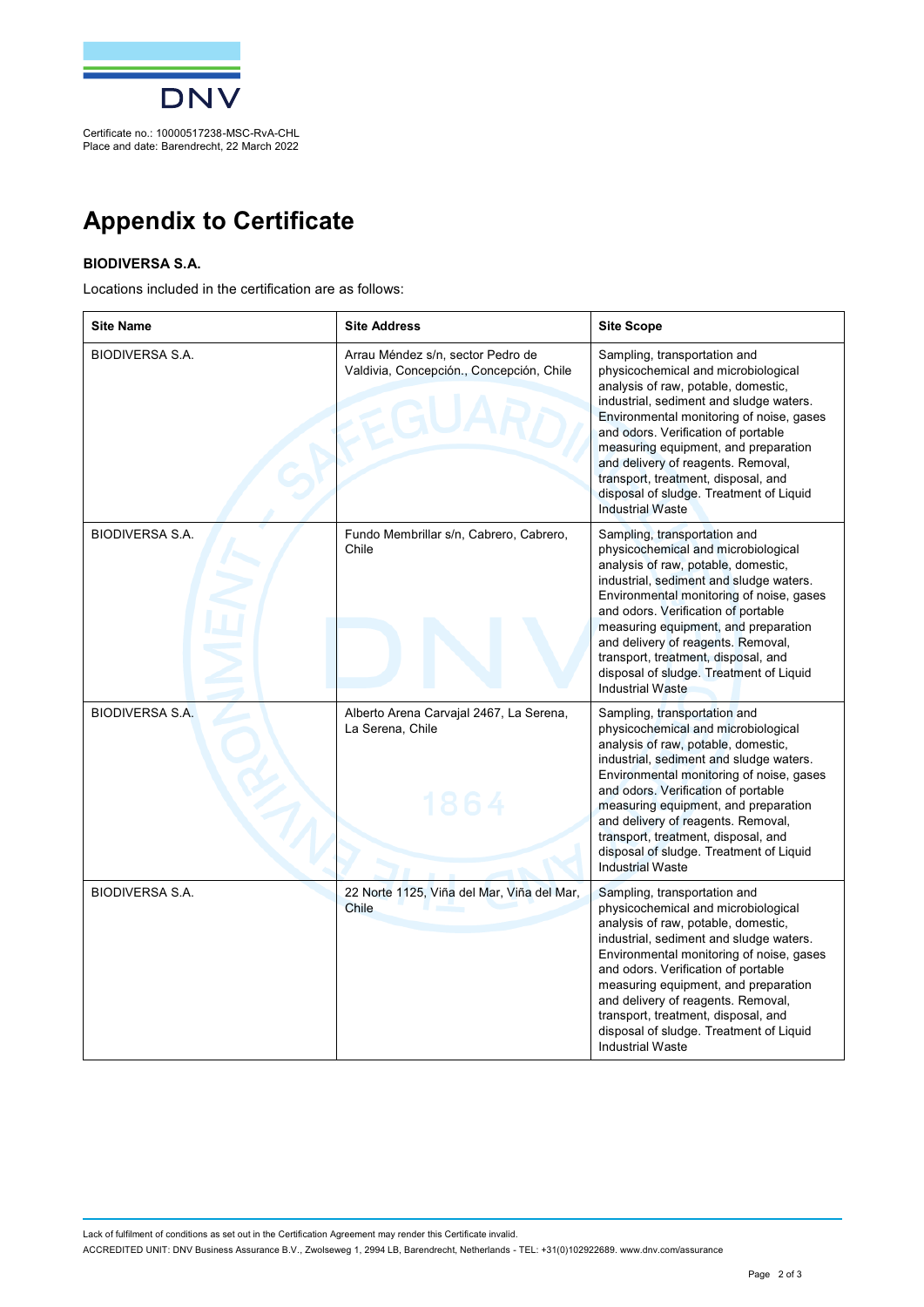

## **Appendix to Certificate**

## **BIODIVERSA S.A.**

Locations included in the certification are as follows:

| <b>Site Name</b>       | <b>Site Address</b>                                                           | <b>Site Scope</b>                                                                                                                                                                                                                                                                                                                                                                                                                   |
|------------------------|-------------------------------------------------------------------------------|-------------------------------------------------------------------------------------------------------------------------------------------------------------------------------------------------------------------------------------------------------------------------------------------------------------------------------------------------------------------------------------------------------------------------------------|
| <b>BIODIVERSA S.A.</b> | Arrau Méndez s/n, sector Pedro de<br>Valdivia, Concepción., Concepción, Chile | Sampling, transportation and<br>physicochemical and microbiological<br>analysis of raw, potable, domestic,<br>industrial, sediment and sludge waters.<br>Environmental monitoring of noise, gases<br>and odors. Verification of portable<br>measuring equipment, and preparation<br>and delivery of reagents. Removal,<br>transport, treatment, disposal, and<br>disposal of sludge. Treatment of Liquid<br><b>Industrial Waste</b> |
| <b>BIODIVERSA S.A.</b> | Fundo Membrillar s/n, Cabrero, Cabrero,<br>Chile                              | Sampling, transportation and<br>physicochemical and microbiological<br>analysis of raw, potable, domestic,<br>industrial, sediment and sludge waters.<br>Environmental monitoring of noise, gases<br>and odors. Verification of portable<br>measuring equipment, and preparation<br>and delivery of reagents. Removal,<br>transport, treatment, disposal, and<br>disposal of sludge. Treatment of Liquid<br><b>Industrial Waste</b> |
| <b>BIODIVERSA S.A.</b> | Alberto Arena Carvajal 2467, La Serena,<br>La Serena, Chile<br>1864           | Sampling, transportation and<br>physicochemical and microbiological<br>analysis of raw, potable, domestic,<br>industrial, sediment and sludge waters.<br>Environmental monitoring of noise, gases<br>and odors. Verification of portable<br>measuring equipment, and preparation<br>and delivery of reagents. Removal,<br>transport, treatment, disposal, and<br>disposal of sludge. Treatment of Liquid<br><b>Industrial Waste</b> |
| <b>BIODIVERSA S.A.</b> | 22 Norte 1125, Viña del Mar, Viña del Mar,<br><b>Chile</b>                    | Sampling, transportation and<br>physicochemical and microbiological<br>analysis of raw, potable, domestic,<br>industrial, sediment and sludge waters.<br>Environmental monitoring of noise, gases<br>and odors. Verification of portable<br>measuring equipment, and preparation<br>and delivery of reagents. Removal,<br>transport, treatment, disposal, and<br>disposal of sludge. Treatment of Liquid<br><b>Industrial Waste</b> |

Lack of fulfilment of conditions as set out in the Certification Agreement may render this Certificate invalid. ACCREDITED UNIT: DNV Business Assurance B.V., Zwolseweg 1, 2994 LB, Barendrecht, Netherlands - TEL: +31(0)102922689. [www.dnv.com/assurance](http://www.dnv.com/assurance)